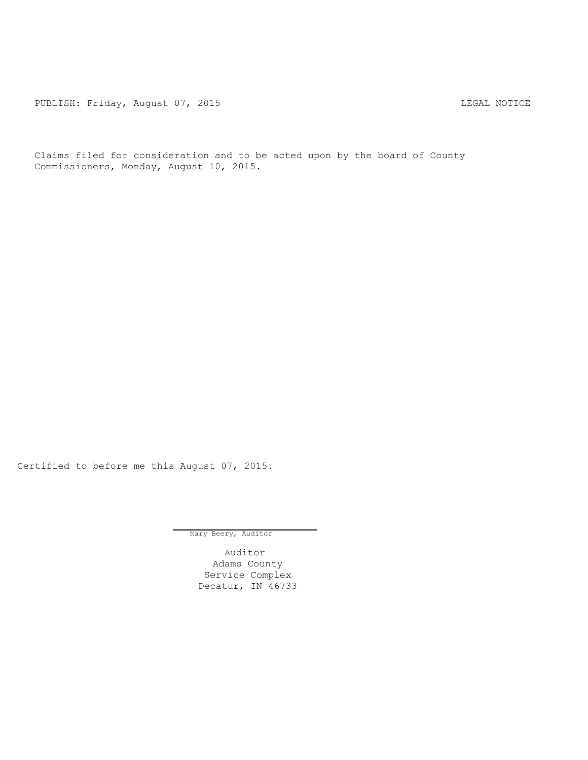PUBLISH: Friday, August 07, 2015 CHA CHANGE AND THE MOTICE

Claims filed for consideration and to be acted upon by the board of County Commissioners, Monday, August 10, 2015.

Certified to before me this August 07, 2015.

Mary Beery, Auditor

Auditor Adams County Service Complex Decatur, IN 46733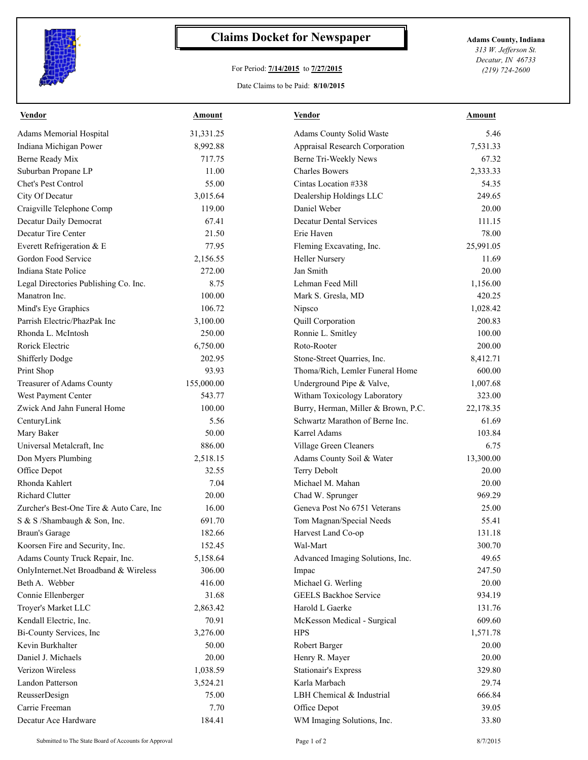

## **Claims Docket for Newspaper Adams County, Indiana**

## For Period: **7/14/2015** to **7/27/2015**

*313 W. Jefferson St. Decatur, IN 46733 (219) 724-2600*

## Date Claims to be Paid: **8/10/2015**

| <b>Vendor</b>                            | Amount     | Vendor                              | Amount    |
|------------------------------------------|------------|-------------------------------------|-----------|
| Adams Memorial Hospital                  | 31,331.25  | Adams County Solid Waste            | 5.46      |
| Indiana Michigan Power                   | 8,992.88   | Appraisal Research Corporation      | 7,531.33  |
| Berne Ready Mix                          | 717.75     | Berne Tri-Weekly News               | 67.32     |
| Suburban Propane LP                      | 11.00      | <b>Charles Bowers</b>               | 2,333.33  |
| Chet's Pest Control                      | 55.00      | Cintas Location #338                | 54.35     |
| City Of Decatur                          | 3,015.64   | Dealership Holdings LLC             | 249.65    |
| Craigville Telephone Comp                | 119.00     | Daniel Weber                        | 20.00     |
| Decatur Daily Democrat                   | 67.41      | <b>Decatur Dental Services</b>      | 111.15    |
| Decatur Tire Center                      | 21.50      | Erie Haven                          | 78.00     |
| Everett Refrigeration & E                | 77.95      | Fleming Excavating, Inc.            | 25,991.05 |
| Gordon Food Service                      | 2,156.55   | <b>Heller Nursery</b>               | 11.69     |
| Indiana State Police                     | 272.00     | Jan Smith                           | 20.00     |
| Legal Directories Publishing Co. Inc.    | 8.75       | Lehman Feed Mill                    | 1,156.00  |
| Manatron Inc.                            | 100.00     | Mark S. Gresla, MD                  | 420.25    |
| Mind's Eye Graphics                      | 106.72     | Nipsco                              | 1,028.42  |
| Parrish Electric/PhazPak Inc             | 3,100.00   | Quill Corporation                   | 200.83    |
| Rhonda L. McIntosh                       | 250.00     | Ronnie L. Smitley                   | 100.00    |
| Rorick Electric                          | 6,750.00   | Roto-Rooter                         | 200.00    |
| <b>Shifferly Dodge</b>                   | 202.95     | Stone-Street Quarries, Inc.         | 8,412.71  |
| Print Shop                               | 93.93      | Thoma/Rich, Lemler Funeral Home     | 600.00    |
| Treasurer of Adams County                | 155,000.00 | Underground Pipe & Valve,           | 1,007.68  |
| West Payment Center                      | 543.77     | Witham Toxicology Laboratory        | 323.00    |
| Zwick And Jahn Funeral Home              | 100.00     | Burry, Herman, Miller & Brown, P.C. | 22,178.35 |
| CenturyLink                              | 5.56       | Schwartz Marathon of Berne Inc.     | 61.69     |
| Mary Baker                               | 50.00      | <b>Karrel Adams</b>                 | 103.84    |
| Universal Metalcraft, Inc.               | 886.00     | Village Green Cleaners              | 6.75      |
| Don Myers Plumbing                       | 2,518.15   | Adams County Soil & Water           | 13,300.00 |
| Office Depot                             | 32.55      | Terry Debolt                        | 20.00     |
| Rhonda Kahlert                           | 7.04       | Michael M. Mahan                    | 20.00     |
| Richard Clutter                          | 20.00      | Chad W. Sprunger                    | 969.29    |
| Zurcher's Best-One Tire & Auto Care, Inc | 16.00      | Geneva Post No 6751 Veterans        | 25.00     |
| S & S /Shambaugh & Son, Inc.             | 691.70     | Tom Magnan/Special Needs            | 55.41     |
| <b>Braun's Garage</b>                    | 182.66     | Harvest Land Co-op                  | 131.18    |
| Koorsen Fire and Security, Inc.          | 152.45     | Wal-Mart                            | 300.70    |
| Adams County Truck Repair, Inc.          | 5,158.64   | Advanced Imaging Solutions, Inc.    | 49.65     |
| OnlyInternet.Net Broadband & Wireless    | 306.00     | Impac                               | 247.50    |
| Beth A. Webber                           | 416.00     | Michael G. Werling                  | 20.00     |
| Connie Ellenberger                       | 31.68      | <b>GEELS Backhoe Service</b>        | 934.19    |
| Troyer's Market LLC                      | 2,863.42   | Harold L Gaerke                     | 131.76    |
| Kendall Electric, Inc.                   | 70.91      | McKesson Medical - Surgical         | 609.60    |
| Bi-County Services, Inc                  | 3,276.00   | <b>HPS</b>                          | 1,571.78  |
| Kevin Burkhalter                         | 50.00      | Robert Barger                       | 20.00     |
| Daniel J. Michaels                       | 20.00      | Henry R. Mayer                      | 20.00     |
| Verizon Wireless                         | 1,038.59   | <b>Stationair's Express</b>         | 329.80    |
| Landon Patterson                         | 3,524.21   | Karla Marbach                       | 29.74     |
| ReusserDesign                            | 75.00      | LBH Chemical & Industrial           | 666.84    |
| Carrie Freeman                           | 7.70       | Office Depot                        | 39.05     |
| Decatur Ace Hardware                     | 184.41     | WM Imaging Solutions, Inc.          | 33.80     |
|                                          |            |                                     |           |